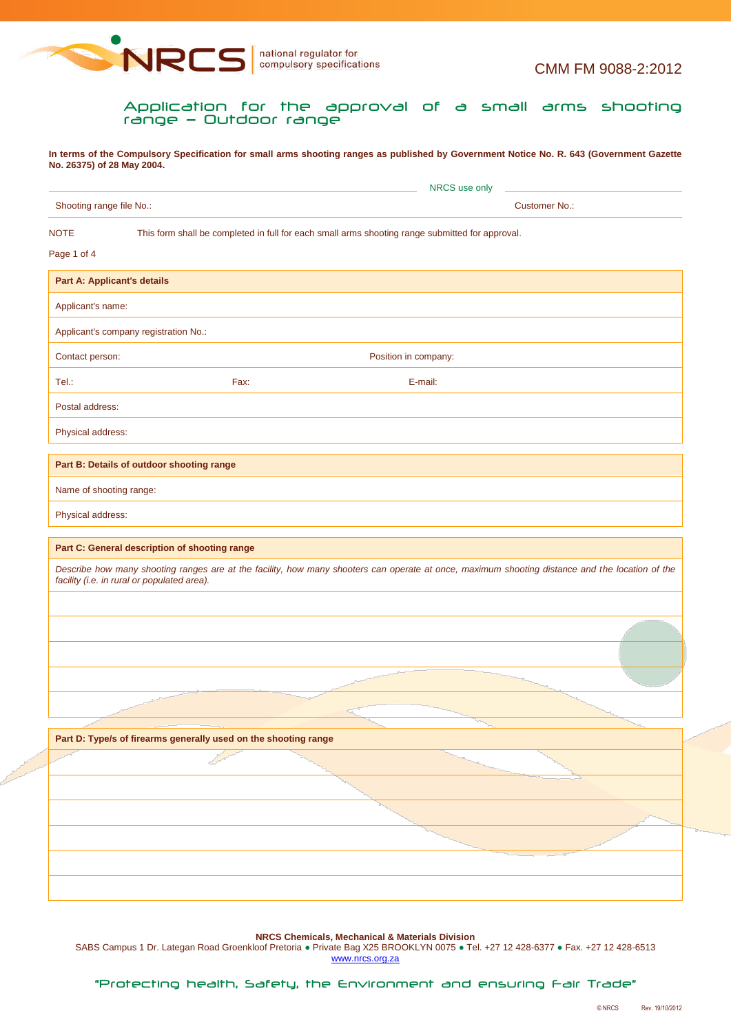

Application for the approval of a small arms shooting range — Outdoor range

**In terms of the Compulsory Specification for small arms shooting ranges as published by Government Notice No. R. 643 (Government Gazette No. 26375) of 28 May 2004.**

|                                    |                                                                 | NRCS use only                                                                                                                                   |
|------------------------------------|-----------------------------------------------------------------|-------------------------------------------------------------------------------------------------------------------------------------------------|
|                                    | Shooting range file No.:                                        | <b>Customer No.:</b>                                                                                                                            |
| <b>NOTE</b>                        |                                                                 | This form shall be completed in full for each small arms shooting range submitted for approval.                                                 |
| Page 1 of 4                        |                                                                 |                                                                                                                                                 |
| <b>Part A: Applicant's details</b> |                                                                 |                                                                                                                                                 |
| Applicant's name:                  |                                                                 |                                                                                                                                                 |
|                                    | Applicant's company registration No.:                           |                                                                                                                                                 |
| Contact person:                    |                                                                 | Position in company:                                                                                                                            |
| Tel.:                              | Fax:                                                            | E-mail:                                                                                                                                         |
| Postal address:                    |                                                                 |                                                                                                                                                 |
| Physical address:                  |                                                                 |                                                                                                                                                 |
|                                    |                                                                 |                                                                                                                                                 |
|                                    | Part B: Details of outdoor shooting range                       |                                                                                                                                                 |
| Name of shooting range:            |                                                                 |                                                                                                                                                 |
| Physical address:                  |                                                                 |                                                                                                                                                 |
|                                    |                                                                 | Describe how many shooting ranges are at the facility, how many shooters can operate at once, maximum shooting distance and the location of the |
|                                    | facility (i.e. in rural or populated area).                     |                                                                                                                                                 |
|                                    |                                                                 |                                                                                                                                                 |
|                                    |                                                                 |                                                                                                                                                 |
|                                    |                                                                 |                                                                                                                                                 |
|                                    |                                                                 |                                                                                                                                                 |
|                                    |                                                                 |                                                                                                                                                 |
|                                    | Part D: Type/s of firearms generally used on the shooting range |                                                                                                                                                 |
|                                    |                                                                 |                                                                                                                                                 |
|                                    |                                                                 |                                                                                                                                                 |
|                                    |                                                                 |                                                                                                                                                 |
|                                    |                                                                 |                                                                                                                                                 |

**NRCS Chemicals, Mechanical & Materials Division**

SABS Campus 1 Dr. Lategan Road Groenkloof Pretoria · Private Bag X25 BROOKLYN 0075 · Tel. +27 12 428-6377 · Fax. +27 12 428-6513 www.nrcs.org.za

"Protecting health, Safety, the Environment and ensuring Fair Trade"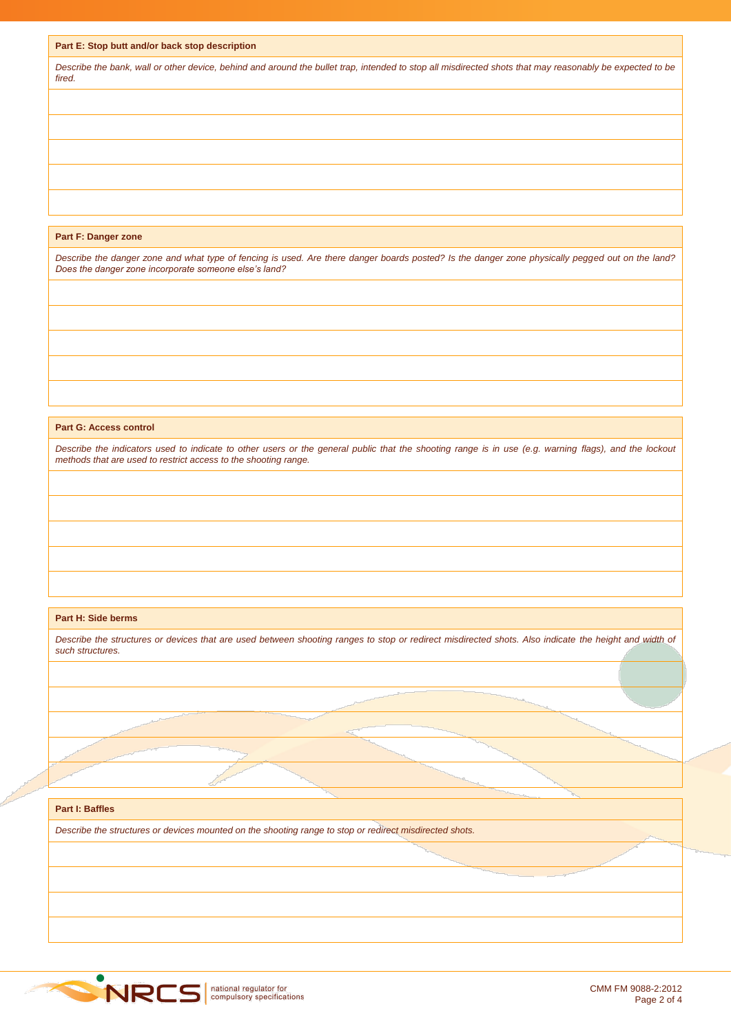|  |  |  | Part E: Stop butt and/or back stop description |
|--|--|--|------------------------------------------------|
|  |  |  |                                                |

*Describe the bank, wall or other device, behind and around the bullet trap, intended to stop all misdirected shots that may reasonably be expected to be fired.*

## **Part F: Danger zone**

*Describe the danger zone and what type of fencing is used. Are there danger boards posted? Is the danger zone physically pegged out on the land? Does the danger zone incorporate someone else's land?*

#### **Part G: Access control**

*Describe the indicators used to indicate to other users or the general public that the shooting range is in use (e.g. warning flags), and the lockout methods that are used to restrict access to the shooting range.*

#### **Part H: Side berms**

| such structures.                                                                                        |  |
|---------------------------------------------------------------------------------------------------------|--|
|                                                                                                         |  |
|                                                                                                         |  |
|                                                                                                         |  |
|                                                                                                         |  |
|                                                                                                         |  |
|                                                                                                         |  |
| <b>Part I: Baffles</b>                                                                                  |  |
| Describe the structures or devices mounted on the shooting range to stop or redirect misdirected shots. |  |
|                                                                                                         |  |
|                                                                                                         |  |

*Describe the structures or devices that are used between shooting ranges to stop or redirect misdirected shots. Also indicate the height and width of* 

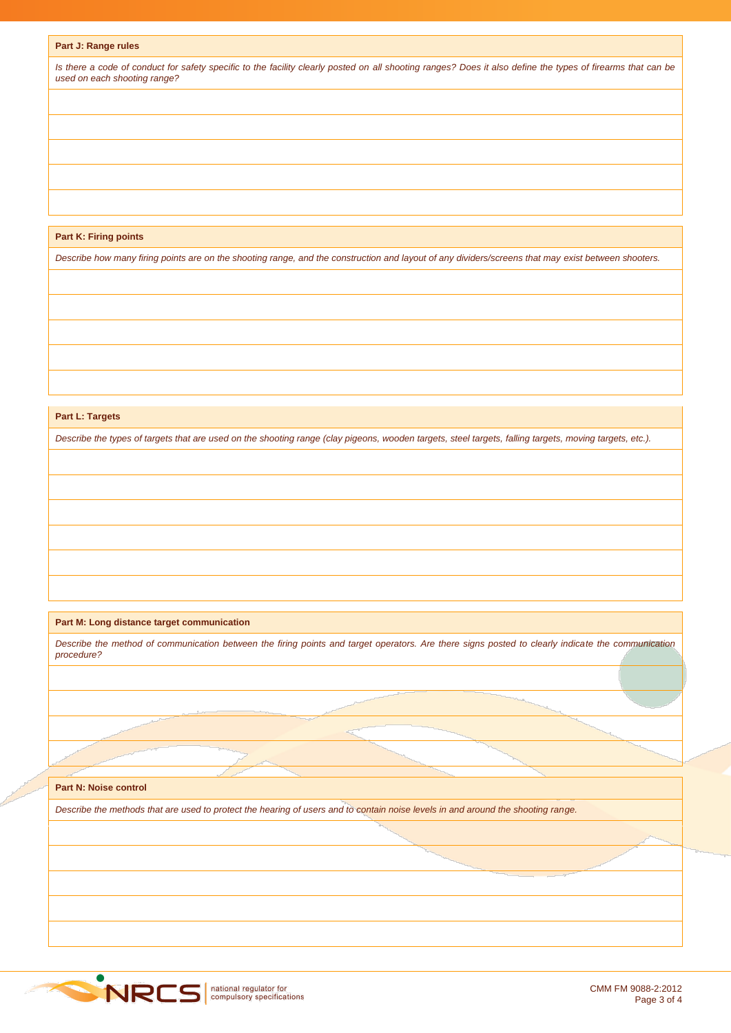# **Part J: Range rules**

*Is there a code of conduct for safety specific to the facility clearly posted on all shooting ranges? Does it also define the types of firearms that can be used on each shooting range?*

## **Part K: Firing points**

*Describe how many firing points are on the shooting range, and the construction and layout of any dividers/screens that may exist between shooters.*

## **Part L: Targets**

*Describe the types of targets that are used on the shooting range (clay pigeons, wooden targets, steel targets, falling targets, moving targets, etc.).*

# **Part M: Long distance target communication**

*Describe the method of communication between the firing points and target operators. Are there signs posted to clearly indicate the communication procedure?*

# **Part N: Noise control**

*Describe the methods that are used to protect the hearing of users and to contain noise levels in and around the shooting range.*